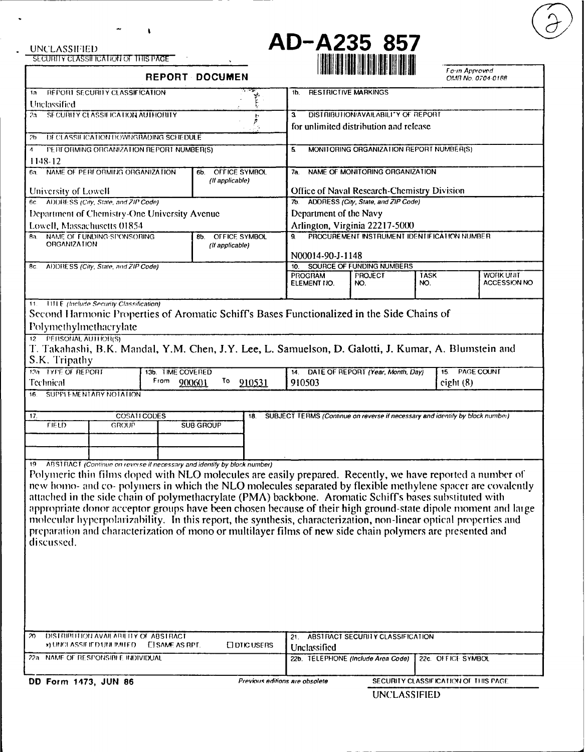1148-12



**SL J III Yv CLASSII** CA I iNO f Tills T =G **1I** I II II II IIII Fo n Approvd **REPORT DOCUMEN OM A CONSIDERED BUILDER A CONSIDERED BUILDER** In FPOItI **SECUfIIY** CLASSIFICA1FION **1b.** RES FRICTIVE MARKINGS Unclassified 2,a **SFCURITY CLASSII ICA IION AUTHORITY** 3 DISTRIBUTION/AVAILABILI\*Y OF REPORT for unlimited distribution **and** release 2b DECLASSIE ICATION DOWNGRADING SCHEDULE 4 PEH ORMING ORGANIZATION REPORT NUMBER(S) 5 MONITORING ORGANIZATION REPORT NUMBER(S) **6a.** NAME **Of** PERIORMIJGO1GANIZATION 6b. OFFICE SYMBOL 7a. NAME OF MONITORING ORGANIZAIION (If applicable) University of Lowell **Chamber Chemistry Division Chemistry Division Chemistry Division** 6c **AI)I11** SS (City. State, and *71P* Code) *7b.* ADDRESS (City, State, and ZIP Code) **Department of Chemistry-One University Avenue Department of the Navy** Lowell, Massachusetts **01854** Arlington, Virginia 22217-50(W) Ra **NAME Of** FUNDINGS'IO(NSORING **8b.** OFFICE SYMBOL q PROCUREMENT **INSTRUMENT** IDENIFICATION NUMBER ORGANIZATION *(If applicable)* **N00014-90-J-1** 148 **FC.** ADDRESS (City. State, and ZIP Code) **PROGRAM PROJECT TASK WORK UNIT ELEMENT NO.** 11. **1111 E** *(hiclude Security Classification)* Second **I** larmonic Properties of Aromatic Schiff's Bases Functionalized in the Side Chains of Polymethylmethacrylate 12 PERSONAL AUTHOR(S) **'.** Takahashi, B.K. Mandal, Y.M. Chen, **J.Y.** Lee, L. Samuelson, **D.** Galotti, **J.** Kumar, **A. Bluimstein** and S.K. Tripathy **11a** y'VE OF REPORT **13b.** TIME COVEIED 14. **DATE** OF REPORT (Year, Month. Day) 15 PAGECOUNT Technical **From**  $\frac{900601}{10}$  **To**  $\frac{910531}{1010503}$  eight **(8)** 16 SUPPI -MTNTARY NOIAI **ION** 17. COSALI COUES **18. SUBJECT TERMS (Continue on reverse if necessary and identify by block number)** FIELD GROUP SUBGROUP 19 ARS1 **RAC** T (Continue on *revorse* if necessary and identify **by** block number) Polymeric thin films doped with NLO molecules are easily prepared. Recently, we have reported a number of new homo- and co- polymers in which the NLO molecules separated by flexible methylene spacer are covalently attached in the side chain of polymethacrylate (PMA) backbone. Aromatic Schiffs bases substituted with appropriate donor acceptor groups have been chosen because of their high ground-state dipole moment and large molecular hyperpolarizability. In this report, the synthesis, characterization, non-linear optical properties and preparation **and** characterization of mono or multilayer films of new side chain polymers are presented **and** discussed.

| 20.<br>DISTRIBUTION AVAILABILITY OF ABSTRACT.<br><b><i>x</i>) UNCLASSIEIED UNLERED EISAME AS RPT.</b><br>$\Box$ DTIC USERS |  | ABSTRACT SECURITY CLASSIFICATION<br>Unclassified                        |  |  |
|----------------------------------------------------------------------------------------------------------------------------|--|-------------------------------------------------------------------------|--|--|
| 22 a<br>- NAME OF RESPONSIBLE INDIVIDUAL                                                                                   |  | 22b. TELEPHONE (Include Area Code)   22c. OFFICE SYMBOL                 |  |  |
| DD Form 1473, JUN 86                                                                                                       |  | Previous editions are obsolete<br>SECURITY CLASSIFICATION OF THIS PAGE. |  |  |

UNCLASSIFIED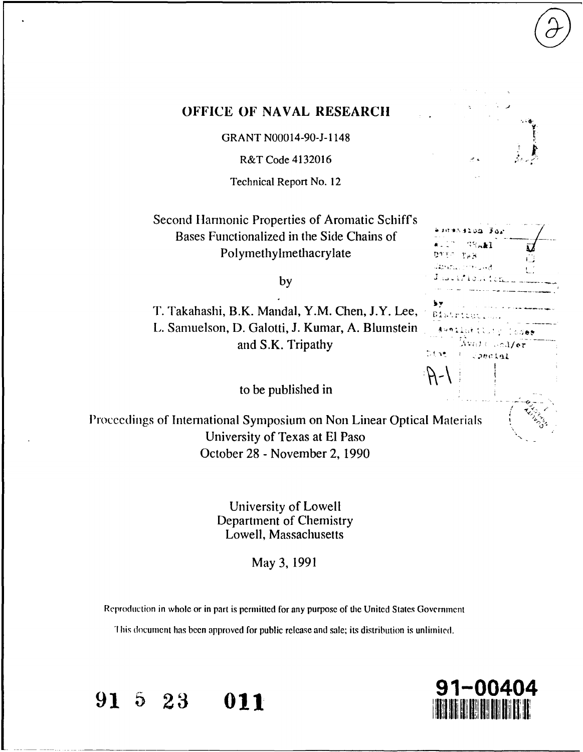|  | ï |   |                           |
|--|---|---|---------------------------|
|  |   | ٠ |                           |
|  |   | ٠ | 计电                        |
|  |   |   | ŗ.                        |
|  |   |   |                           |
|  |   |   | $\frac{1}{2}$<br>ă.<br>r. |
|  |   |   |                           |

 $\Gamma$  and  $\Gamma$ 

ويتنازل والأداري

 $\sim$  3/07

Special

 $\mathcal{L}(\mathcal{A})$  , where

District

Dise

 $A -$ 

## **OFFICE OF NAVAL RESEARCH**

GRANT **N00014-90-J-1** 148

R&T Code 4132016

Technical Report No. 12

Second Harmonic Properties of Aromatic Schiff's Bases Functionalized in the Side Chains of-Polymethylmethacrylate

**by**

T. Takahashi, B.K. Mandal, Y.M. Chen, **J.Y.** Lee, L. Samuelson, **D.** Galotti, **J.** Kumar, **A.** Blurnstein \*\* and S.K. Tripathy

to be published in

Proceedings of International Symposium on Non Linear Optical Materials University of Texas at **El** Paso October **28 -** November 2, **1990**

> University of Lowell Department of Chemistry Lowell, Massachusetts

> > May **3, 1991**

Reproduction in whole or in part is permitted for any purpose of the United States Government

This document has been approved for public release and sale; its distribution is unlimited.

**91** 5 23 **011** 

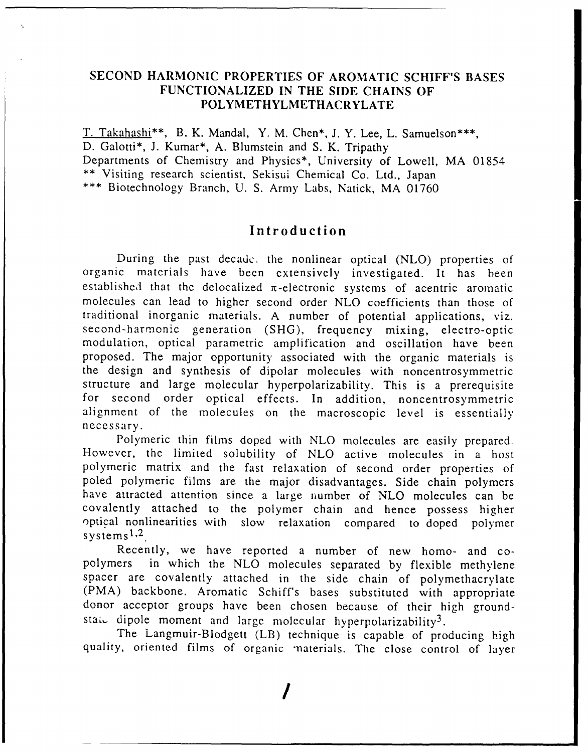## **SECOND HARMONIC PROPERTIES OF AROMATIC SCHIFF'S BASES FUNCTIONALIZED IN** THE SIDE **CHAINS** OF POLYMETHYLMETHACRYLATE

T. Takahashi\*\*, B. K. Mandal, Y. M. Chen\*, J. Y. Lee, L. Samuelson\*\*\*, **D.** Galotti\*, **J.** Kumar\*, **A.** Blumstein and **S.** K. Tripathy Departments of Chemistry and Physics\*, University of Lowell, MA 01854 \*\* Visiting research scientist, Sekisui Chemical Co. Ltd., Japan \*\*\* Biotechnology Branch, U. S. Army Labs, Natick, MA 01760

# **Introduction**

During the past decade. the nonlinear optical (NLO) properties of organic materials have been extensively investigated. It has been established that the delocalized  $\pi$ -electronic systems of acentric aromatic molecules can lead to higher second order NLO coefficients than those of traditional inorganic materials. A number of potential applications, viz. second-harmonic generation (SHG), frequency mixing, electro-optic modulation, optical parametric amplification and oscillation have been proposed. The major opportunity associated with the organic materials is the design and synthesis of dipolar molecules with noncentrosymmetric structure and large molecular hyperpolarizability. This is a prerequisite for second order optical effects. In addition, noncentrosymmetric alignment of the molecules on the macroscopic level is essentially necessary.

Polymeric thin films doped with NLO molecules are easily prepared. However, the limited solubility of NLO active molecules in a host polymeric matrix and the fast relaxation of second order properties of poled polymeric films are the major disadvantages. Side chain polymers have attracted attention since a large number of NLO molecules can be covalently attached to the polymer chain and hence possess higher optical nonlinearities with slow relaxation compared to doped polymer systems<sup>1,2</sup>

Recently, we have reported a number of new homo- and copolymers in which the NLO molecules separated by flexible methylene spacer are covalently attached in the side chain of polymethacrylate (PMA) backbone. Aromatic Schiff's bases substituted with appropriate donor acceptor groups have been chosen because of their high groundstai, dipole moment and large molecular hyperpolarizability<sup>3</sup>.

The Langmuir-Blodgett (LB) technique is capable of producing high quality, oriented films of organic materials. The close control of layer

*/*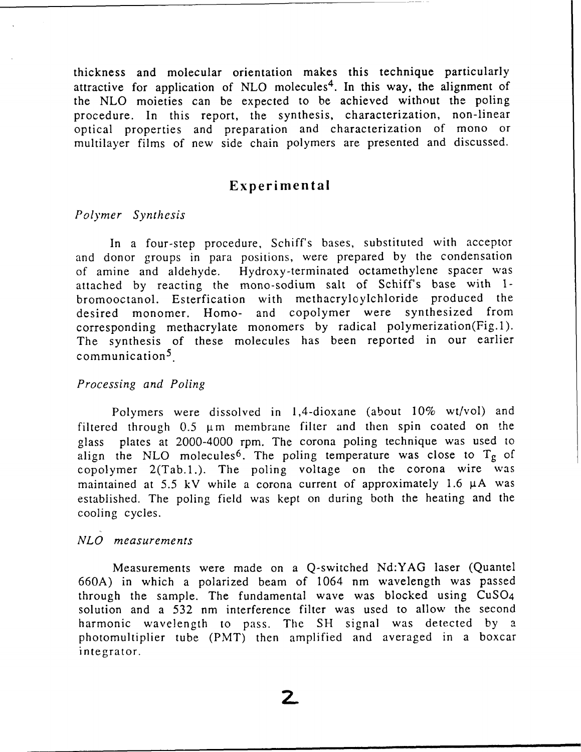thickness and molecular orientation makes this technique particularly attractive for application of NLO molecules<sup>4</sup>. In this way, the alignment of the NLO moieties can be expected to be achieved without the poling procedure. In this report, the synthesis, characterization, non-linear optical properties and preparation and characterization of mono or multilayer films of new side chain polymers are presented and discussed.

# **Experimental**

#### *Polymer Synthesis*

In a four-step procedure, Schiff's bases, substituted with acceptor and donor groups in para positions, were prepared by the condensation of amine and aldehyde. Hydroxy-terminated octamethylene spacer was attached by reacting the mono-sodium salt of Schiff's base with 1 bromooctanol. Esterfication with methacryloylchloride produced the desired monomer. Homo- and copolymer were synthesized from corresponding methacrylate monomers by radical polymerization(Fig.1). The synthesis of these molecules has been reported in our earlier communication<sup>5</sup>

### *Processing and Poling*

Polymers were dissolved in 1,4-dioxane (about 10% wt/vol) and filtered through  $0.5 \mu m$  membrane filter and then spin coated on the glass plates at 2000-4000 rpm. The corona poling technique was used to align the NLO molecules<sup>6</sup>. The poling temperature was close to  $T_g$  of copolymer 2(Tab.1.). The poling voltage on the corona wire was maintained at  $5.5$  kV while a corona current of approximately 1.6  $\mu$ A was established. The poling field was kept on during both the heating and the cooling cycles.

#### *NLO measurements*

Measurements were made on a Q-switched Nd:YAG laser (Quantel 660A) in which a polarized beam of 1064 nm wavelength was passed through the sample. The fundamental wave was blocked using CuS04 solution and a 532 nm interference filter was used to allow the second harmonic wavelength to pass. The SH signal was detected by a photomultiplier tube (PMT) then amplified and averaged in a boxcar integrator.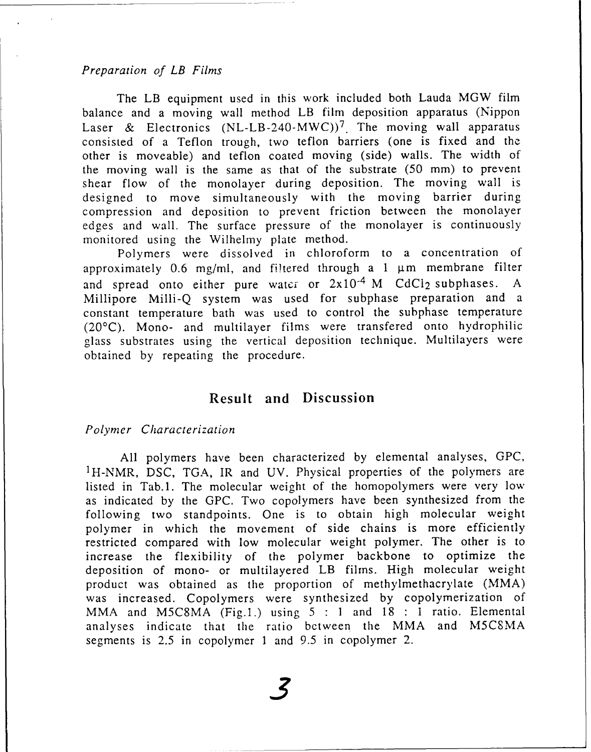### *Preparation of LB Films*

The LB equipment used in this work included both Lauda MGW film balance and a moving wall method LB film deposition apparatus (Nippon Laser & Electronics  $(NL-LB-240-MWC))^7$  The moving wall apparatus consisted of a Teflon trough, two teflon barriers (one is fixed and the other is moveable) and teflon coated moving (side) walls. The width of the moving wall is the same as that of the substrate (50 mm) to prevent shear flow of the monolayer during deposition. The moving wall is designed to move simultaneously with the moving barrier during compression and deposition to prevent friction between the monolayer edges and wall. The surface pressure of the monolayer is continuously monitored using the Wilhelmy plate method.

Polymers were dissolved in chloroform to a concentration of approximately 0.6 mg/ml, and filtered through a 1  $\mu$ m membrane filter and spread onto either pure water or  $2x10^{-4}$  M CdCl<sub>2</sub> subphases. Millipore Milli-Q system was used for subphase preparation and a constant temperature bath was used to control the subphase temperature (20'C). Mono- and multilayer films were transfered onto hydrophilic glass substrates using the vertical deposition technique. Multilayers were obtained by repeating the procedure.

## **Result and Discussion**

### *Polymer Characterization*

All polymers have been characterized by elemental analyses, GPC, <sup>1</sup>H-NMR, DSC, TGA, IR and UV. Physical properties of the polymers are listed in Tab.1. The molecular weight of the homopolymers were very low as indicated by the GPC. Two copolymers have been synthesized from the following two standpoints. One is to obtain high molecular weight polymer in which the movement of side chains is more efficiently restricted compared with low molecular weight polymer. The other is to increase the flexibility of the polymer backbone to optimize the deposition of mono- or multilayered LB films. High molecular weight product was obtained as the proportion of methylmethacrylate (MMA) was increased. Copolymers were synthesized by copolymerization of MMA and M5C8MA (Fig.l.) using 5 **:1** and 18 **:1** ratio. Elemental analyses indicate that the ratio between the MMA and M5CSMA segments is 2.5 in copolymer 1 and 9.5 in copolymer 2.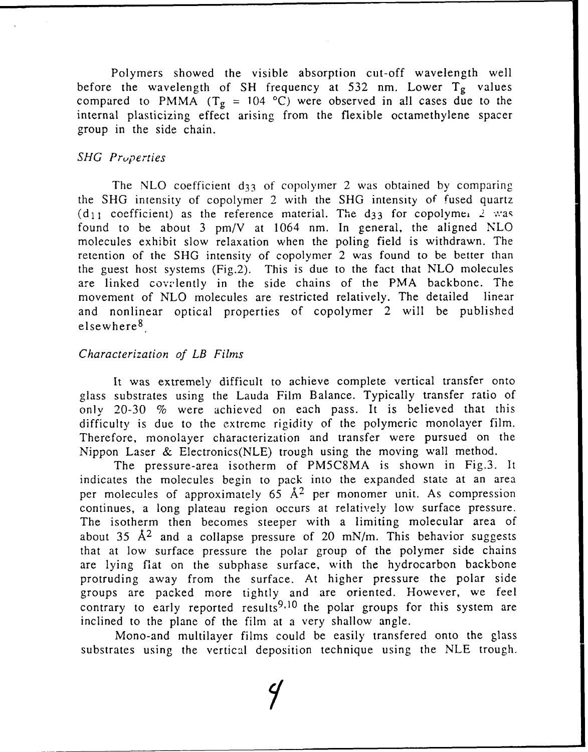Polymers showed the visible absorption cut-off wavelength well before the wavelength of SH frequency at 532 nm. Lower  $T_g$  values compared to PMMA  $(T_g = 104 \text{ °C})$  were observed in all cases due to the internal plasticizing effect arising from the flexible octamethylene spacer group in the side chain.

## *SHG Pruperties*

The NLO coefficient  $d_{33}$  of copolymer 2 was obtained by comparing the SHG intensity of copolymer 2 with the SHG intensity of fused quartz  $(d_{11} \text{ coefficient})$  as the reference material. The d<sub>33</sub> for copolymei 2, was found to be about 3 pm/V at 1064 nm. In general, the aligned NLO molecules exhibit slow relaxation when the poling field is withdrawn. The retention of the SHG intensity of copolymer 2 was found to be better than the guest host systems (Fig.2), This is due to the fact that NLO molecules are linked covelently in the side chains of the PMA backbone. The movement of NLO molecules are restricted relatively. The detailed linear and nonlinear optical properties of copolymer 2 will be published elsewhere <sup>8</sup> .

## *Characterization of LB Films*

It was extremely difficult to achieve complete vertical transfer onto glass substrates using the Lauda Film Balance. Typically transfer ratio of only 20-30 % were achieved on each pass. It is believed that this difficulty is due to the extreme rigidity of the polymeric monolayer film. Therefore, monolayer characterization and transfer were pursued on the Nippon Laser & Electronics(NLE) trough using the moving wall method.

The pressure-area isotherm of PM5C8MA is shown in Fig.3. It indicates the molecules begin to pack into the expanded state at an area per molecules of approximately  $65 \text{ Å}^2$  per monomer unit. As compression continues, a long plateau region occurs at relatively low surface pressure. The isotherm then becomes steeper with a limiting molecular area of about 35 **A2** and a collapse pressure of 20 mN/m. This behavior suggests that at low surface pressure the polar group of the polymer side chains are lying fiat on the subphase surface, with the hydrocarbon backbone protruding away from the surface. At higher pressure the polar side groups are packed more tightly and are oriented. However, we feel contrary to early reported results<sup>9,10</sup> the polar groups for this system are inclined to the plane of the film at a very shallow angle.

Mono-and multilayer films could be easily transfered onto the glass substrates using the vertical deposition technique using the NLE trough.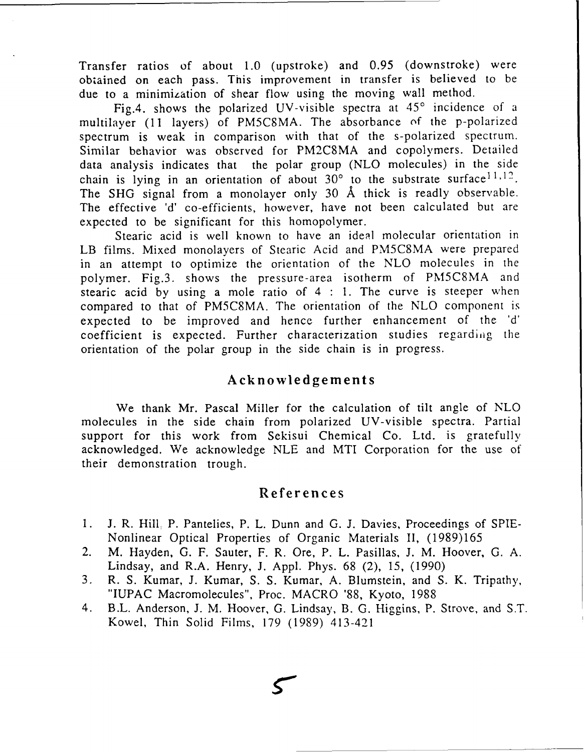Transfer ratios of about 1.0 (upstroke) and 0.95 (downstroke) were obtained on each pass. This improvement in transfer is believed to be due to a minimization of shear flow using the moving wall method.

Fig.4. shows the polarized UV-visible spectra at  $45^\circ$  incidence of a multilayer (11 layers) of PM5CSMA. The absorbance of the p-polarized spectrum is weak in comparison with that of the s-polarized spectrum. Similar behavior was observed for PM2C8MA and copolymers. Detailed data analysis indicates that the polar group (NLO molecules) in the side chain is lying in an orientation of about  $30^{\circ}$  to the substrate surface<sup>11,12</sup>. The SHG signal from a monolayer only 30 **A** thick is readly observable. The effective 'd' co-efficients, however, have not been calculated but are expected to be significant for this homopolymer.

Stearic acid is well known to have an ideal molecular orientation in LB films. Mixed monolayers of Stearic Acid and PM5C8MA were prepared in an attempt to optimize the orientation of the NLO molecules in the polymer. Fig.3. shows the pressure-area isotherm of PM5C8MA and stearic acid by using a mole ratio of 4 **:** 1. The curve is steeper when compared to that of PM5C8MA. The orientation of the NLO component is expected to be improved and hence further enhancement of the 'd' coefficient is expected. Further characterization studies regarding the orientation of the polar group in the side chain is in progress.

# **Acknowledgements**

We thank Mr. Pascal Miller for the calculation of tilt angle of NLO molecules in the side chain from polarized UV-visible spectra. Partial support for this work from Sekisui Chemical Co. Ltd. is gratefully acknowledged. We acknowledge NLE and MTI Corporation for the use of their demonstration trough.

# References

- 1. J. R. Hill. P. Pantelies, P. L. Dunn and G. J. Davies, Proceedings of SPIE-Nonlinear Optical Properties of Organic Materials II, (1989)165
- 2. M. Hayden, **G.** F. Sauter, F. R. Ore, P. L. Pasillas, J. M. Hoover, **G.** A. Lindsay, and R.A. Henry, J. Appl. Phys. 68 (2), 15, (1990)
- 3. R. S. Kumar, J. Kumar, S. S. Kumar, A. Blumstein, and S. K. Tripathy, "IUPAC Macromolecules", Proc. MACRO '88, Kyoto, 1988
- 4. B.L. Anderson, J. M. Hoover, **G.** Lindsay, B. G. Higgins, P. Strove, and S.T. Kowel, Thin Solid Films, 179 (1989) 413-421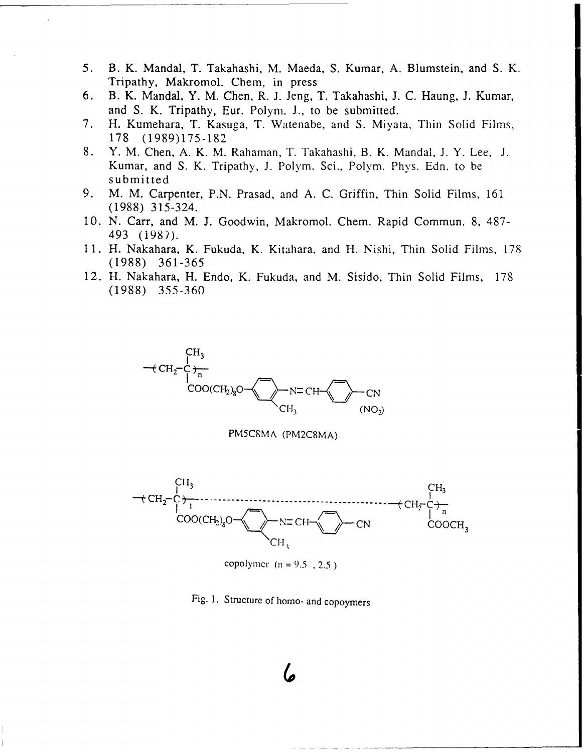- *5.* B. K. Mandal, T. Takahashi, M. Maeda, **S.** Kumar, **A.** Blumstein, and **S.** K. Tripathy, Makromol. Chem, in press
- **6. B. K. Mandal, Y. M. Chen, R. J. Jeng, T. Takahashi, J. C. Haung, J. Kumar,** and **S.** K. Tripathy, Eur. Polym. **J.,** to be submitted.
- **7.** H. Kumehara, T. Kasuga, T. Watenabe, and **S.** Miyata, Thin Solid Films, **17 8 (1989)175** -182
- **8.** Y. M. Chen, **A.** K. M. Rahaman. T. Takahashi, B. K. Mandal, **J.** Y. Lee, **J.** Kumar, and S. K. Tripathy, J. Polym. Sci., Polym. Phys. Edn. to be submitted
- **9.** M. M. Carpenter, **P.N.** Prasad, and **A. C.** Griffin, Thin Solid Films, **161 (1988)** *315-324.*
- **10. N.** Carr, and M. **J.** Goodwin, Makromol. Chem. Rapid Commun. **8, 487-** 493 (1987).
- **11.** H. Nakahara, K. Fukuda, K. Kitahara, and H. Nishi, Thin Solid Films, **178 (1988) 361-365**
- 12. H. Nakahara, H. Endo, K. Fukuda, and M. Sisido, Thin Solid Films, **178 (1988)** *355-360*



**PM5C8MA** (PM2C8MA)



copolymer (n **= 9.5 . 2.5)**

Fig. **1.** Structurc of horno- and copoymers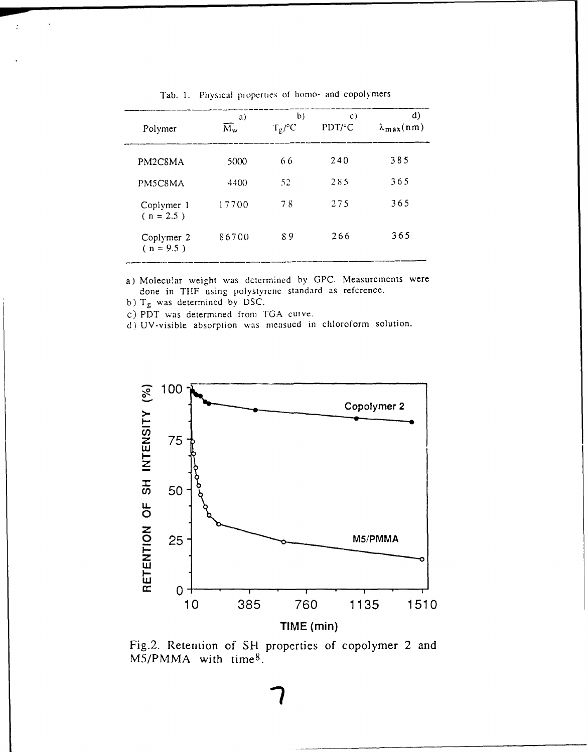| Polymer                   | a)<br>$\overline{\rm M}_{\rm w}$ | b)<br>$T_g$ /°C | $\mathcal{C}$ )<br>PDT/°C | d)<br>$\lambda_{\text{max}}(n m)$ |
|---------------------------|----------------------------------|-----------------|---------------------------|-----------------------------------|
| PM2C8MA                   | 5000                             | 66              | 240                       | 385                               |
| PM5C8MA                   | 4400                             | 52              | 285                       | 365                               |
| Coplymer 1<br>$(n = 2.5)$ | 17700                            | 78              | 275                       | 365                               |
| Coplymer 2<br>$(n = 9.5)$ | 86700                            | 89              | 266                       | 365                               |

Tab. 1. Physical properties of homo- and copolymers

a) Molecular weight was dctermined by GPC. Measurements were done in THF using polystyrene standard as reference.

**b) Tg** was determined **by DSC.**

**C)** PDT wvas determined from **TGA** cuive.

d) UV-visible absorption was measued in chloroform solution.



Fig.2. Retention of **SI-** properties **of** copolymer 2 and M5/PMMA with time<sup>8</sup>.